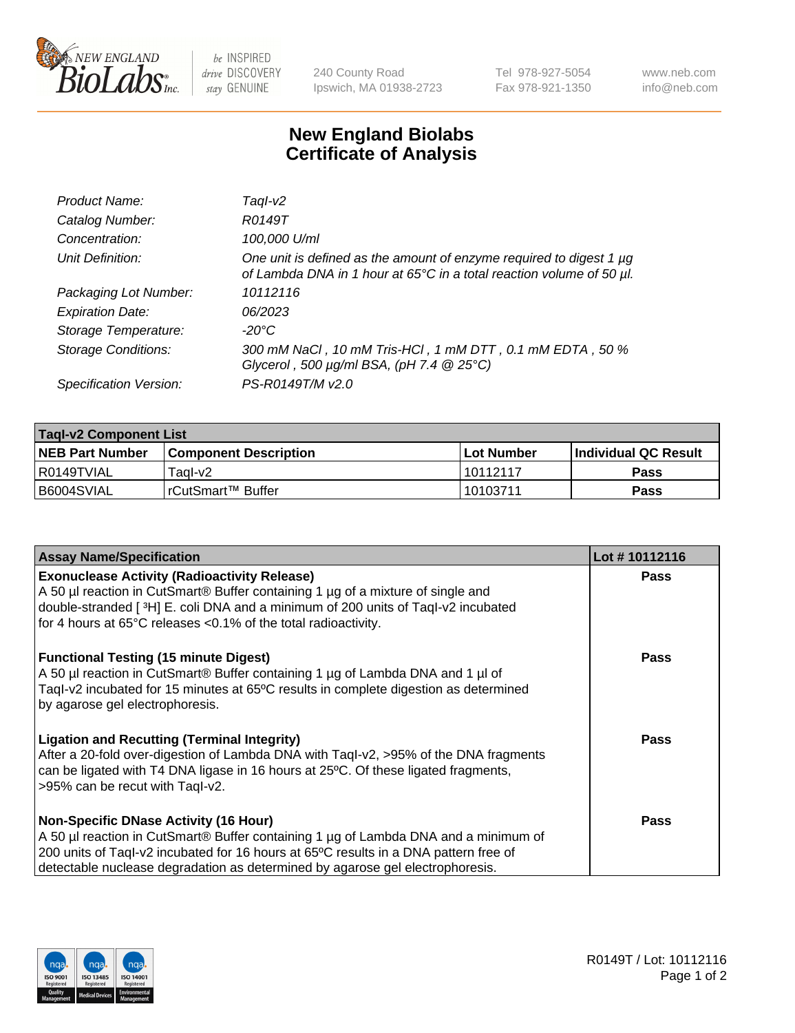

 $be$  INSPIRED drive DISCOVERY stay GENUINE

240 County Road Ipswich, MA 01938-2723 Tel 978-927-5054 Fax 978-921-1350 www.neb.com info@neb.com

## **New England Biolabs Certificate of Analysis**

| Product Name:              | Taql-v2                                                                                                                                     |
|----------------------------|---------------------------------------------------------------------------------------------------------------------------------------------|
| Catalog Number:            | R0149T                                                                                                                                      |
| Concentration:             | 100,000 U/ml                                                                                                                                |
| Unit Definition:           | One unit is defined as the amount of enzyme required to digest 1 µg<br>of Lambda DNA in 1 hour at 65°C in a total reaction volume of 50 µl. |
| Packaging Lot Number:      | 10112116                                                                                                                                    |
| <b>Expiration Date:</b>    | 06/2023                                                                                                                                     |
| Storage Temperature:       | $-20^{\circ}$ C                                                                                                                             |
| <b>Storage Conditions:</b> | 300 mM NaCl, 10 mM Tris-HCl, 1 mM DTT, 0.1 mM EDTA, 50 %<br>Glycerol, 500 $\mu$ g/ml BSA, (pH 7.4 $@25°C$ )                                 |
| Specification Version:     | PS-R0149T/M v2.0                                                                                                                            |

| <b>Tagl-v2 Component List</b> |                         |              |                             |  |  |
|-------------------------------|-------------------------|--------------|-----------------------------|--|--|
| <b>NEB Part Number</b>        | l Component Description | l Lot Number | <b>Individual QC Result</b> |  |  |
| l R0149TVIAL                  | Tagl-v2                 | 10112117     | <b>Pass</b>                 |  |  |
| I B6004SVIAL                  | 'rCutSmart™ Buffer      | 10103711     | Pass                        |  |  |

| <b>Assay Name/Specification</b>                                                                                                                                                                                                                                                                              | Lot #10112116 |
|--------------------------------------------------------------------------------------------------------------------------------------------------------------------------------------------------------------------------------------------------------------------------------------------------------------|---------------|
| <b>Exonuclease Activity (Radioactivity Release)</b><br>A 50 µl reaction in CutSmart® Buffer containing 1 µg of a mixture of single and<br>double-stranded [3H] E. coli DNA and a minimum of 200 units of Taql-v2 incubated<br>for 4 hours at 65°C releases <0.1% of the total radioactivity.                 | <b>Pass</b>   |
| <b>Functional Testing (15 minute Digest)</b><br>A 50 µl reaction in CutSmart® Buffer containing 1 µg of Lambda DNA and 1 µl of<br>Taql-v2 incubated for 15 minutes at 65°C results in complete digestion as determined<br>by agarose gel electrophoresis.                                                    | Pass          |
| <b>Ligation and Recutting (Terminal Integrity)</b><br>After a 20-fold over-digestion of Lambda DNA with Taql-v2, >95% of the DNA fragments<br>can be ligated with T4 DNA ligase in 16 hours at 25°C. Of these ligated fragments,<br>>95% can be recut with Tagl-v2.                                          | <b>Pass</b>   |
| <b>Non-Specific DNase Activity (16 Hour)</b><br>A 50 µl reaction in CutSmart® Buffer containing 1 µg of Lambda DNA and a minimum of<br>200 units of Taql-v2 incubated for 16 hours at 65°C results in a DNA pattern free of<br>detectable nuclease degradation as determined by agarose gel electrophoresis. | Pass          |